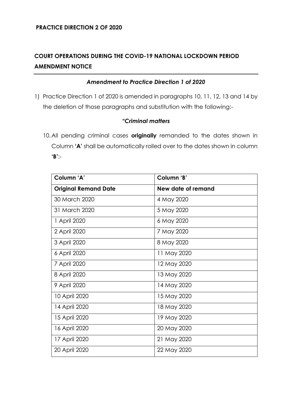# **COURT OPERATIONS DURING THE COVID-19 NATIONAL LOCKDOWN PERIOD AMENDMENT NOTICE**

### *Amendment to Practice Direction 1 of 2020*

1) Practice Direction 1 of 2020 is amended in paragraphs 10, 11, 12, 13 and 14 by the deletion of those paragraphs and substitution with the following:-

#### *"Criminal matters*

10.All pending criminal cases **originally** remanded to the dates shown in Column **'A'** shall be automatically rolled over to the dates shown in column **'B'**:-

| Column 'A'                  | Column 'B'         |
|-----------------------------|--------------------|
| <b>Original Remand Date</b> | New date of remand |
| 30 March 2020               | 4 May 2020         |
| 31 March 2020               | 5 May 2020         |
| 1 April 2020                | 6 May 2020         |
| 2 April 2020                | 7 May 2020         |
| 3 April 2020                | 8 May 2020         |
| 6 April 2020                | 11 May 2020        |
| 7 April 2020                | 12 May 2020        |
| 8 April 2020                | 13 May 2020        |
| 9 April 2020                | 14 May 2020        |
| 10 April 2020               | 15 May 2020        |
| 14 April 2020               | 18 May 2020        |
| 15 April 2020               | 19 May 2020        |
| 16 April 2020               | 20 May 2020        |
| 17 April 2020               | 21 May 2020        |
| 20 April 2020               | 22 May 2020        |